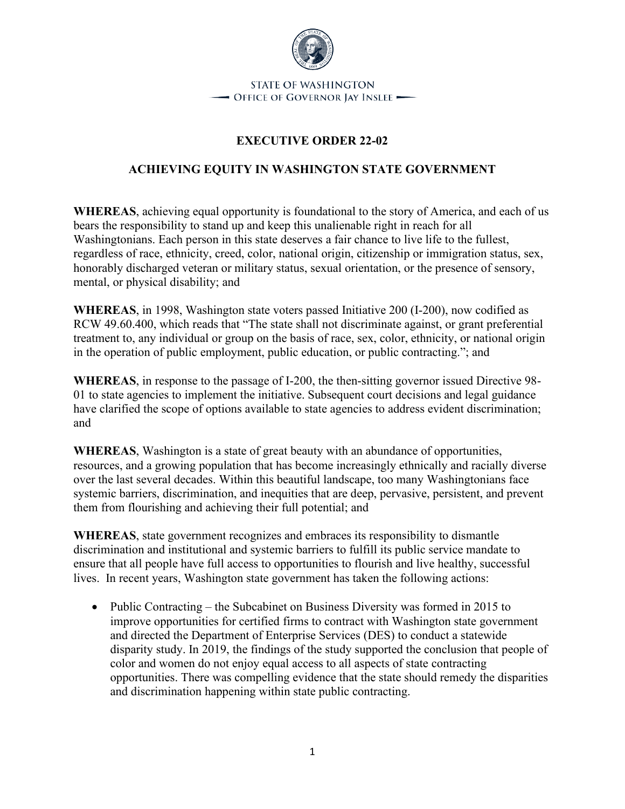

## **EXECUTIVE ORDER 22-02**

## **ACHIEVING EQUITY IN WASHINGTON STATE GOVERNMENT**

**WHEREAS**, achieving equal opportunity is foundational to the story of America, and each of us bears the responsibility to stand up and keep this unalienable right in reach for all Washingtonians. Each person in this state deserves a fair chance to live life to the fullest, regardless of race, ethnicity, creed, color, national origin, citizenship or immigration status, sex, honorably discharged veteran or military status, sexual orientation, or the presence of sensory, mental, or physical disability; and

**WHEREAS**, in 1998, Washington state voters passed Initiative 200 (I-200), now codified as RCW 49.60.400, which reads that "The state shall not discriminate against, or grant preferential treatment to, any individual or group on the basis of race, sex, color, ethnicity, or national origin in the operation of public employment, public education, or public contracting."; and

**WHEREAS**, in response to the passage of I-200, the then-sitting governor issued Directive 98- 01 to state agencies to implement the initiative. Subsequent court decisions and legal guidance have clarified the scope of options available to state agencies to address evident discrimination; and

**WHEREAS**, Washington is a state of great beauty with an abundance of opportunities, resources, and a growing population that has become increasingly ethnically and racially diverse over the last several decades. Within this beautiful landscape, too many Washingtonians face systemic barriers, discrimination, and inequities that are deep, pervasive, persistent, and prevent them from flourishing and achieving their full potential; and

**WHEREAS**, state government recognizes and embraces its responsibility to dismantle discrimination and institutional and systemic barriers to fulfill its public service mandate to ensure that all people have full access to opportunities to flourish and live healthy, successful lives. In recent years, Washington state government has taken the following actions:

• Public Contracting – the Subcabinet on Business Diversity was formed in 2015 to improve opportunities for certified firms to contract with Washington state government and directed the Department of Enterprise Services (DES) to conduct a statewide disparity study. In 2019, the findings of the study supported the conclusion that people of color and women do not enjoy equal access to all aspects of state contracting opportunities. There was compelling evidence that the state should remedy the disparities and discrimination happening within state public contracting.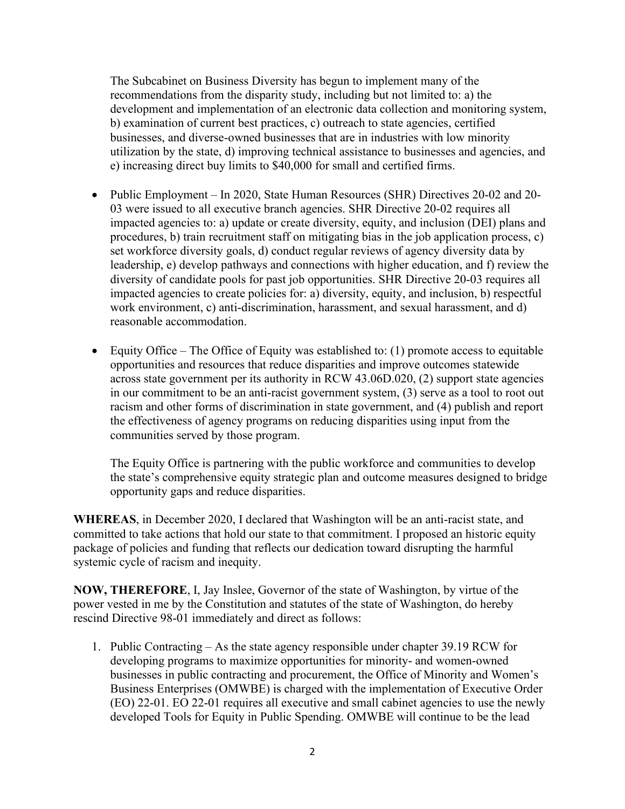The Subcabinet on Business Diversity has begun to implement many of the recommendations from the disparity study, including but not limited to: a) the development and implementation of an electronic data collection and monitoring system, b) examination of current best practices, c) outreach to state agencies, certified businesses, and diverse-owned businesses that are in industries with low minority utilization by the state, d) improving technical assistance to businesses and agencies, and e) increasing direct buy limits to \$40,000 for small and certified firms.

- Public Employment In 2020, State Human Resources (SHR) Directives 20-02 and 20-03 were issued to all executive branch agencies. SHR Directive 20-02 requires all impacted agencies to: a) update or create diversity, equity, and inclusion (DEI) plans and procedures, b) train recruitment staff on mitigating bias in the job application process, c) set workforce diversity goals, d) conduct regular reviews of agency diversity data by leadership, e) develop pathways and connections with higher education, and f) review the diversity of candidate pools for past job opportunities. SHR Directive 20-03 requires all impacted agencies to create policies for: a) diversity, equity, and inclusion, b) respectful work environment, c) anti-discrimination, harassment, and sexual harassment, and d) reasonable accommodation.
- Equity Office The Office of Equity was established to:  $(1)$  promote access to equitable opportunities and resources that reduce disparities and improve outcomes statewide across state government per its authority in RCW 43.06D.020, (2) support state agencies in our commitment to be an anti-racist government system, (3) serve as a tool to root out racism and other forms of discrimination in state government, and (4) publish and report the effectiveness of agency programs on reducing disparities using input from the communities served by those program.

The Equity Office is partnering with the public workforce and communities to develop the state's comprehensive equity strategic plan and outcome measures designed to bridge opportunity gaps and reduce disparities.

**WHEREAS**, in December 2020, I declared that Washington will be an anti-racist state, and committed to take actions that hold our state to that commitment. I proposed an historic equity package of policies and funding that reflects our dedication toward disrupting the harmful systemic cycle of racism and inequity.

**NOW, THEREFORE**, I, Jay Inslee, Governor of the state of Washington, by virtue of the power vested in me by the Constitution and statutes of the state of Washington, do hereby rescind Directive 98-01 immediately and direct as follows:

1. Public Contracting – As the state agency responsible under chapter 39.19 RCW for developing programs to maximize opportunities for minority- and women-owned businesses in public contracting and procurement, the Office of Minority and Women's Business Enterprises (OMWBE) is charged with the implementation of Executive Order (EO) 22-01. EO 22-01 requires all executive and small cabinet agencies to use the newly developed Tools for Equity in Public Spending. OMWBE will continue to be the lead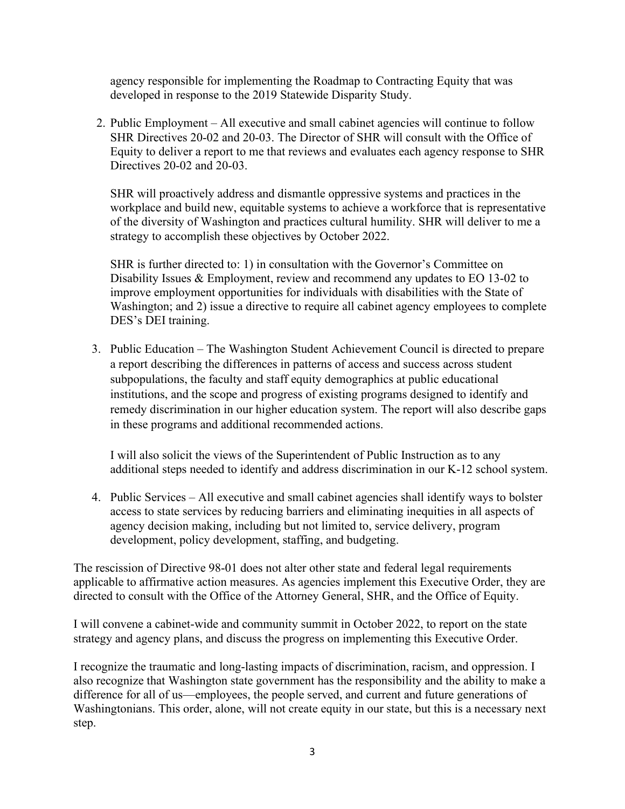agency responsible for implementing the Roadmap to Contracting Equity that was developed in response to the 2019 Statewide Disparity Study.

2. Public Employment – All executive and small cabinet agencies will continue to follow SHR Directives 20-02 and 20-03. The Director of SHR will consult with the Office of Equity to deliver a report to me that reviews and evaluates each agency response to SHR Directives 20-02 and 20-03.

SHR will proactively address and dismantle oppressive systems and practices in the workplace and build new, equitable systems to achieve a workforce that is representative of the diversity of Washington and practices cultural humility. SHR will deliver to me a strategy to accomplish these objectives by October 2022.

SHR is further directed to: 1) in consultation with the Governor's Committee on Disability Issues & Employment, review and recommend any updates to EO 13-02 to improve employment opportunities for individuals with disabilities with the State of Washington; and 2) issue a directive to require all cabinet agency employees to complete DES's DEI training.

3. Public Education – The Washington Student Achievement Council is directed to prepare a report describing the differences in patterns of access and success across student subpopulations, the faculty and staff equity demographics at public educational institutions, and the scope and progress of existing programs designed to identify and remedy discrimination in our higher education system. The report will also describe gaps in these programs and additional recommended actions.

I will also solicit the views of the Superintendent of Public Instruction as to any additional steps needed to identify and address discrimination in our K-12 school system.

4. Public Services – All executive and small cabinet agencies shall identify ways to bolster access to state services by reducing barriers and eliminating inequities in all aspects of agency decision making, including but not limited to, service delivery, program development, policy development, staffing, and budgeting.

The rescission of Directive 98-01 does not alter other state and federal legal requirements applicable to affirmative action measures. As agencies implement this Executive Order, they are directed to consult with the Office of the Attorney General, SHR, and the Office of Equity.

I will convene a cabinet-wide and community summit in October 2022, to report on the state strategy and agency plans, and discuss the progress on implementing this Executive Order.

I recognize the traumatic and long-lasting impacts of discrimination, racism, and oppression. I also recognize that Washington state government has the responsibility and the ability to make a difference for all of us—employees, the people served, and current and future generations of Washingtonians. This order, alone, will not create equity in our state, but this is a necessary next step.